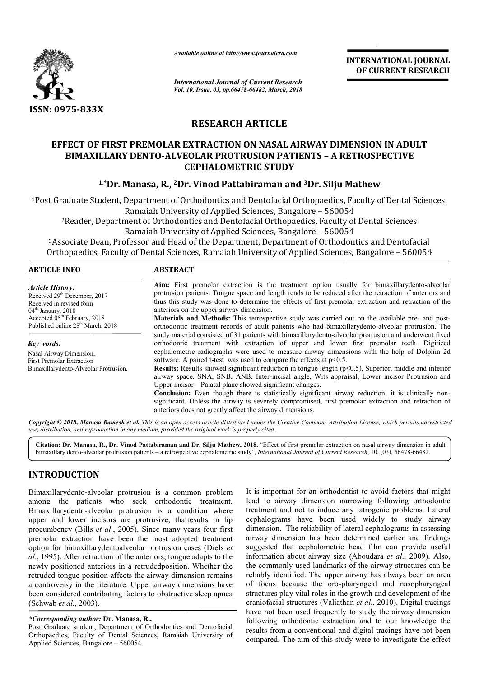

*Available online at http://www.journalcra.com*

*International Journal of Current Research Vol. 10, Issue, 03, pp.66478-66482, March, 2018* **INTERNATIONAL JOURNAL OF CURRENT RESEARCH**

# **RESEARCH ARTICLE**

# **EFFECT OF FIRST PREMOLAR EXTRACTION ON NASAL AIRWAY DIMENSION IN ADULT**  BIMAXILLARY DENTO-ALVEOLAR PROTRUSION PATIENTS – A RETROSPECTIVE **CEPHALOMETRIC STUDY**

# <sup>1,</sup>\*Dr. Manasa, R., <sup>2</sup>Dr. Vinod Pattabiraman and <sup>3</sup>Dr. Silju Mathew

<sup>1</sup>Post Graduate Student, Department of Orthodontics and Dentofacial Orthopaedics, Faculty of Dental Sciences, Ramaiah University of Applied Sciences, Bangalore – 560054 <sup>2</sup>Reader, Department of Orthodontics and Dentofacial Orthopaedics, Faculty of Dental Sciences<br>Ramaiah University of Applied Sciences, Bangalore – 560054

Ramaiah University of Applied Sciences, Bangalore

3Associate Dean, Professor and Head of the Department, Department of Orthodontics and Dentofacial <sup>3</sup> Associate Dean, Professor and Head of the Department, Department of Orthodontics and Dentofacial Orthopaedics, Faculty of Dental Sciences, Ramaiah University of Applied Sciences, Bangalore – 560054

| Aim: First premolar extraction is the treatment option usually for bimaxillary dento-alveolar<br>protrusion patients. Tongue space and length tends to be reduced after the retraction of anteriors and<br>thus this study was done to determine the effects of first premolar extraction and retraction of the<br>anteriors on the upper airway dimension.<br><b>Materials and Methods:</b> This retrospective study was carried out on the available pre- and post-<br>orthodontic treatment records of adult patients who had bimaxillarydento-alveolar protrusion. The |  |  |  |  |  |
|----------------------------------------------------------------------------------------------------------------------------------------------------------------------------------------------------------------------------------------------------------------------------------------------------------------------------------------------------------------------------------------------------------------------------------------------------------------------------------------------------------------------------------------------------------------------------|--|--|--|--|--|
| study material consisted of 31 patients with bimaxillarydento-alveolar protrusion and underwent fixed<br>orthodontic treatment with extraction of upper and lower first premolar teeth. Digitized                                                                                                                                                                                                                                                                                                                                                                          |  |  |  |  |  |
| cephalometric radiographs were used to measure airway dimensions with the help of Dolphin 2d<br>software. A paired t-test was used to compare the effects at $p<0.5$ .<br><b>Results:</b> Results showed significant reduction in tongue length $(p<0.5)$ , Superior, middle and inferior                                                                                                                                                                                                                                                                                  |  |  |  |  |  |
| airway space. SNA, SNB, ANB, Inter-incisal angle, Wits appraisal, Lower incisor Protrusion and<br><b>Conclusion:</b> Even though there is statistically significant airway reduction, it is clinically non-<br>significant. Unless the airway is severely compromised, first premolar extraction and retraction of                                                                                                                                                                                                                                                         |  |  |  |  |  |
|                                                                                                                                                                                                                                                                                                                                                                                                                                                                                                                                                                            |  |  |  |  |  |

Copyright © 2018, Manasa Ramesh et al. This is an open access article distributed under the Creative Commons Attribution License, which permits unrestrictea *use, distribution, and reproduction in any medium, provided the original work is properly cited.*

Citation: Dr. Manasa, R., Dr. Vinod Pattabiraman and Dr. Silju Mathew, 2018. "Effect of first premolar extraction on nasal airway dimension in adult bimaxillary dento-alveolar protrusion patients - a retrospective cephalometric study", *International Journal of Current Research*, 10, (03), 66478-66482.

# **INTRODUCTION**

Bimaxillarydento-alveolar protrusion is a common problem among the patients who seek orthodontic treatment. Bimaxillarydento-alveolar protrusion is a condition where upper and lower incisors are protrusive, thatresults in lip procumbency (Bills *et al*., 2005). Since many years four first premolar extraction have been the most adopted treatment option for bimaxillarydentoalveolar protrusion cases (Diels *et al*., 1995). After retraction of the anteriors, tongue adapts to the newly positioned anteriors in a retrudedposition. Whether the retruded tongue position affects the airway dimension remains a controversy in the literature. Upper airway dimensions have been considered contributing factors to obstructive sleep apnea (Schwab *et al*., 2003). alveolar protrus<br>ients who see<br>alveolar protrus<br>incisors are pi<br>ls *et al.*, 2005). udedposition. Whether the<br>airway dimension remains<br>er airway dimensions have<br>to obstructive sleep apnea<br>**R**,<br>Orthodontics and Dentofacial

#### *\*Corresponding author:* **Dr. Manasa, R.,**

Post Graduate student, Department of Orthodontics and Dentofacial Orthopaedics, Faculty of Dental Sciences, Ramaiah University of Applied Sciences, Bangalore – 560054.

It is important for an orthodontist to avoid factors that might lead to airway dimension narrowing following orthodontic lead to airway dimension narrowing following orthodontic<br>treatment and not to induce any iatrogenic problems. Lateral cephalograms have been used widely to study airway dimension. The reliability of lateral cephalograms in assessing airway dimension has been determined earlier and findings suggested that cephalometric head film can provide useful information about airway size (Aboudara et al., 2009). Also, the commonly used landmarks of the airway structures can be the commonly used landmarks of the airway structures can be reliably identified. The upper airway has always been an area of focus because the oro-pharyngeal and nasopharyngeal structures play vital roles in the growth and development of the craniofacial structures (Valiathan et al., 2010). Digital tracings have not been used frequently to study the airway dimension following orthodontic extraction and to our knowledge the results from a conventional and digital tracings have not been compared. The aim of this study were to investigate the effect been used widely to study airway<br>The reliability of lateral cephalograms in assessing<br>ension has been determined earlier and findings<br>hat cephalometric head film can provide useful<br>about airway size (Aboudara *et al.*, 200 ecause the oro-pharyngeal and nasopharyngeal<br>ay vital roles in the growth and development of the<br>structures *(Valiathan et al., 2010)*. Digital tracings knowledge from the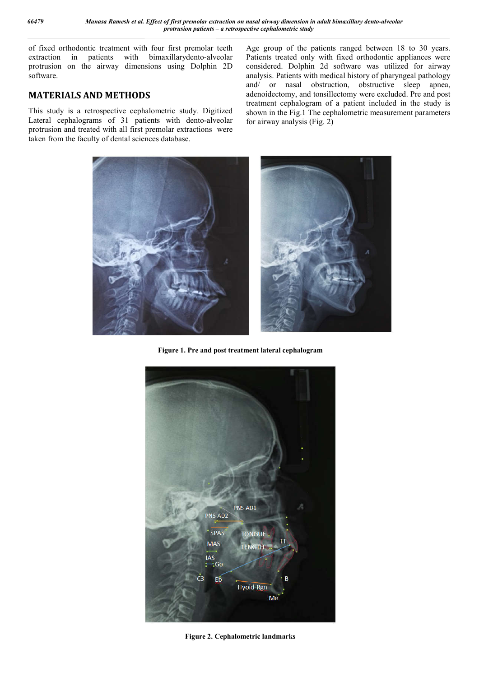of fixed orthodontic treatment with four first premolar teeth extraction in patients with bimaxillarydento-alveolar protrusion on the airway dimensions using Dolphin 2D software.

### **MATERIALS AND METHODS**

This study is a retrospective cephalometric study. Digitized Lateral cephalograms of 31 patients with dento-alveolar protrusion and treated with all first premolar extractions were taken from the faculty of dental sciences database.

Age group of the patients ranged between 18 to 30 years. Patients treated only with fixed orthodontic appliances were considered. Dolphin 2d software was utilized for airway analysis. Patients with medical history of pharyngeal pathology and/ or nasal obstruction, obstructive sleep apnea, adenoidectomy, and tonsillectomy were excluded. Pre and post treatment cephalogram of a patient included in the study is shown in the Fig.1 The cephalometric measurement parameters for airway analysis (Fig. 2)



**Figure 1. Pre and post treatment lateral cephalogram**



**Figure 2. Cephalometric landmarks**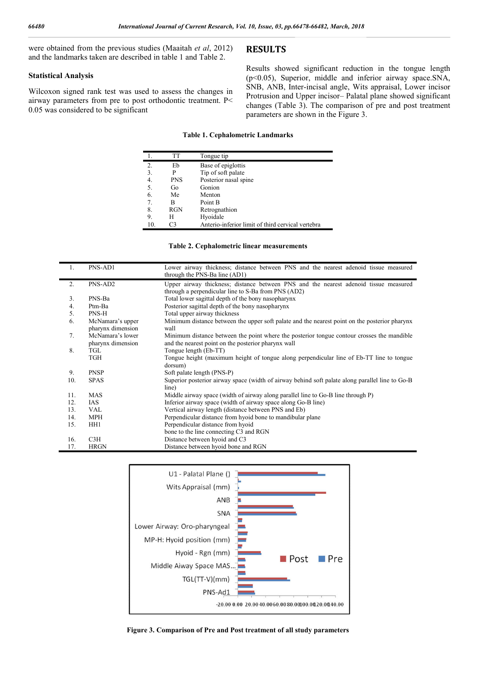were obtained from the previous studies (Maaitah *et al*, 2012) and the landmarks taken are described in table 1 and Table 2.

#### **Statistical Analysis**

Wilcoxon signed rank test was used to assess the changes in airway parameters from pre to post orthodontic treatment. P< 0.05 was considered to be significant

### **RESULTS**

Results showed significant reduction in the tongue length (p<0.05), Superior, middle and inferior airway space.SNA, SNB, ANB, Inter-incisal angle, Wits appraisal, Lower incisor Protrusion and Upper incisor– Palatal plane showed significant changes (Table 3). The comparison of pre and post treatment parameters are shown in the Figure 3.

#### **Table 1. Cephalometric Landmarks**

|                                 | TT         | Tongue tip                                        |
|---------------------------------|------------|---------------------------------------------------|
| 2.                              | Eb         | Base of epiglottis                                |
| 3.                              |            | Tip of soft palate                                |
| 4.                              | <b>PNS</b> | Posterior nasal spine                             |
| 5.                              | Go         | Gonion                                            |
| 6.                              | Me         | Menton                                            |
| $7_{\scriptscriptstyle{\circ}}$ | В          | Point B                                           |
| 8.                              | RGN        | Retrognathion                                     |
| 9.                              | H          | Hyoidale                                          |
| 10.                             | CЗ         | Anterio-inferior limit of third cervical vertebra |

|  | Table 2. Cephalometric linear measurements |
|--|--------------------------------------------|
|--|--------------------------------------------|

| $\mathbf{1}$ . | PNS-AD1                               | Lower airway thickness; distance between PNS and the nearest adenoid tissue measured<br>through the PNS-Ba line (AD1)                             |  |  |  |  |  |  |  |
|----------------|---------------------------------------|---------------------------------------------------------------------------------------------------------------------------------------------------|--|--|--|--|--|--|--|
| 2.             | PNS-AD2                               | Upper airway thickness; distance between PNS and the nearest adenoid tissue measured<br>through a perpendicular line to S-Ba from PNS (AD2)       |  |  |  |  |  |  |  |
| 3 <sub>1</sub> | PNS-Ba                                | Total lower sagittal depth of the bony nasopharynx                                                                                                |  |  |  |  |  |  |  |
| 4.             | Ptm-Ba                                | Posterior sagittal depth of the bony nasopharynx                                                                                                  |  |  |  |  |  |  |  |
| 5.             | PNS-H                                 | Total upper airway thickness                                                                                                                      |  |  |  |  |  |  |  |
| 6.             | McNamara's upper<br>pharynx dimension | Minimum distance between the upper soft palate and the nearest point on the posterior pharynx<br>wall                                             |  |  |  |  |  |  |  |
| 7.             | McNamara's lower<br>pharynx dimension | Minimum distance between the point where the posterior tongue contour crosses the mandible<br>and the nearest point on the posterior pharynx wall |  |  |  |  |  |  |  |
| 8.             | TGL                                   | Tongue length (Eb-TT)                                                                                                                             |  |  |  |  |  |  |  |
|                | TGH                                   | Tongue height (maximum height of tongue along perpendicular line of Eb-TT line to tongue<br>dorsum)                                               |  |  |  |  |  |  |  |
| 9.             | <b>PNSP</b>                           | Soft palate length (PNS-P)                                                                                                                        |  |  |  |  |  |  |  |
| 10.            | <b>SPAS</b>                           | Superior posterior airway space (width of airway behind soft palate along parallel line to Go-B<br>line)                                          |  |  |  |  |  |  |  |
| 11.            | <b>MAS</b>                            | Middle airway space (width of airway along parallel line to Go-B line through P)                                                                  |  |  |  |  |  |  |  |
| 12.            | IAS                                   | Inferior airway space (width of airway space along Go-B line)                                                                                     |  |  |  |  |  |  |  |
| 13.            | <b>VAL</b>                            | Vertical airway length (distance between PNS and Eb)                                                                                              |  |  |  |  |  |  |  |
| 14.            | <b>MPH</b>                            | Perpendicular distance from hyoid bone to mandibular plane                                                                                        |  |  |  |  |  |  |  |
| 15.            | HH1                                   | Perpendicular distance from hyoid                                                                                                                 |  |  |  |  |  |  |  |
|                |                                       | bone to the line connecting C3 and RGN                                                                                                            |  |  |  |  |  |  |  |
| 16.            | C3H                                   | Distance between hyoid and C3                                                                                                                     |  |  |  |  |  |  |  |
| 17.            | <b>HRGN</b>                           | Distance between hyoid bone and RGN                                                                                                               |  |  |  |  |  |  |  |



**Figure 3. Comparison of Pre and Post treatment of all study parameters**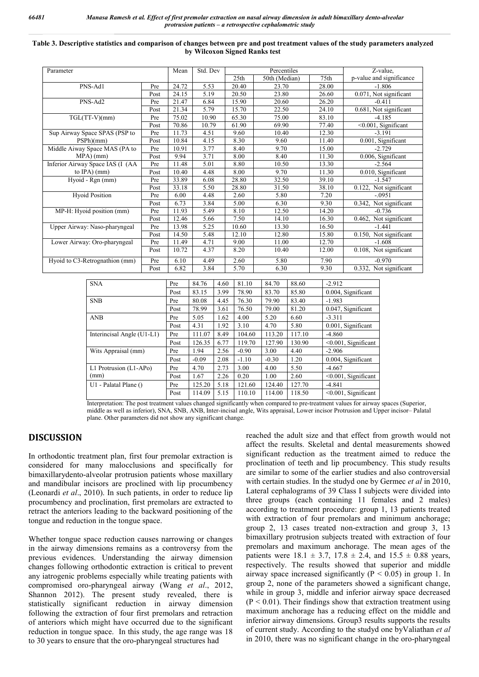| Table 3. Descriptive statistics and comparison of changes between pre and post treatment values of the study parameters analyzed |
|----------------------------------------------------------------------------------------------------------------------------------|
| by Wilcoxon Signed Ranks test                                                                                                    |

| Parameter                        | Mean | Std. Dev | Percentiles |                  |               | Z-value, |                            |
|----------------------------------|------|----------|-------------|------------------|---------------|----------|----------------------------|
|                                  |      |          |             | 25 <sub>th</sub> | 50th (Median) | 75th     | p-value and significance   |
| PNS-Ad1                          | Pre  | 24.72    | 5.53        | 20.40            | 23.70         | 28.00    | $-1.806$                   |
|                                  | Post | 24.15    | 5.19        | 20.50            | 23.80         | 26.60    | 0.071, Not significant     |
| PNS-Ad2                          | Pre  | 21.47    | 6.84        | 15.90            | 20.60         | 26.20    | $-0.411$                   |
|                                  | Post | 21.34    | 5.79        | 15.70            | 22.50         | 24.10    | 0.681, Not significant     |
| $TGL(TT-V)(mm)$                  | Pre  | 75.02    | 10.90       | 65.30            | 75.00         | 83.10    | $-4.185$                   |
|                                  | Post | 70.86    | 10.79       | 61.90            | 69.90         | 77.40    | $\leq 0.001$ , Significant |
| Sup Airway Space SPAS (PSP to    | Pre  | 11.73    | 4.51        | 9.60             | 10.40         | 12.30    | $-3.191$                   |
| PSPh(mm)                         | Post | 10.84    | 4.15        | 8.30             | 9.60          | 11.40    | 0.001, Significant         |
| Middle Aiway Space MAS (PA to    | Pre  | 10.91    | 3.77        | 8.40             | 9.70          | 15.00    | $-2.729$                   |
| MPA)(mm)                         | Post | 9.94     | 3.71        | 8.00             | 8.40          | 11.30    | 0.006, Significant         |
| Inferior Airway Space IAS (I (AA | Pre  | 11.48    | 5.01        | 8.80             | 10.50         | 13.30    | $-2.564$                   |
| to $\text{IPA}$ ) (mm)           | Post | 10.40    | 4.48        | 8.00             | 9.70          | 11.30    | 0.010, Significant         |
| Hyoid - Rgn (mm)                 | Pre  | 33.89    | 6.08        | 28.80            | 32.50         | 39.10    | $-1.547$                   |
|                                  | Post | 33.18    | 5.50        | 28.80            | 31.50         | 38.10    | 0.122, Not significant     |
| <b>Hyoid Position</b>            | Pre  | 6.00     | 4.48        | 2.60             | 5.80          | 7.20     | $-.0951$                   |
|                                  | Post | 6.73     | 3.84        | 5.00             | 6.30          | 9.30     | 0.342, Not significant     |
| MP-H: Hyoid position (mm)        | Pre  | 11.93    | 5.49        | 8.10             | 12.50         | 14.20    | $-0.736$                   |
|                                  | Post | 12.46    | 5.66        | 7.50             | 14.10         | 16.30    | 0.462, Not significant     |
| Upper Airway: Naso-pharyngeal    | Pre  | 13.98    | 5.25        | 10.60            | 13.30         | 16.50    | $-1.441$                   |
|                                  | Post | 14.50    | 5.48        | 12.10            | 12.80         | 15.80    | 0.150, Not significant     |
| Lower Airway: Oro-pharyngeal     | Pre  | 11.49    | 4.71        | 9.00             | 11.00         | 12.70    | $-1.608$                   |
|                                  | Post | 10.72    | 4.37        | 8.20             | 10.40         | 12.00    | 0.108, Not significant     |
| Hyoid to C3-Retrognathion (mm)   | Pre  | 6.10     | 4.49        | 2.60             | 5.80          | 7.90     | $-0.970$                   |
|                                  | Post | 6.82     | 3.84        | 5.70             | 6.30          | 9.30     | 0.332, Not significant     |

| <b>SNA</b>                 | Pre  | 84.76   | 4.60 | 81.10   | 84.70   | 88.60  | $-2.912$                   |
|----------------------------|------|---------|------|---------|---------|--------|----------------------------|
|                            | Post | 83.15   | 3.99 | 78.90   | 83.70   | 85.80  | 0.004, Significant         |
| <b>SNB</b>                 | Pre  | 80.08   | 4.45 | 76.30   | 79.90   | 83.40  | $-1.983$                   |
|                            | Post | 78.99   | 3.61 | 76.50   | 79.00   | 81.20  | 0.047, Significant         |
| <b>ANB</b>                 | Pre  | 5.05    | 1.62 | 4.00    | 5.20    | 6.60   | $-3.311$                   |
|                            | Post | 4.31    | 1.92 | 3.10    | 4.70    | 5.80   | 0.001, Significant         |
| Interincisal Angle (U1-L1) | Pre  | 111.07  | 8.49 | 104.60  | 113.20  | 117.10 | $-4.860$                   |
|                            | Post | 126.35  | 6.77 | 119.70  | 127.90  | 130.90 | $\leq 0.001$ , Significant |
| Wits Appraisal (mm)        | Pre  | 1.94    | 2.56 | $-0.90$ | 3.00    | 4.40   | $-2.906$                   |
|                            | Post | $-0.09$ | 2.08 | $-1.10$ | $-0.30$ | 1.20   | 0.004, Significant         |
| L1 Protrusion (L1-APo)     | Pre  | 4.70    | 2.73 | 3.00    | 4.00    | 5.50   | $-4.667$                   |
| (mm)                       | Post | 1.67    | 2.26 | 0.20    | 1.00    | 2.60   | <0.001, Significant        |
| $U1$ - Palatal Plane ()    | Pre  | 125.20  | 5.18 | 121.60  | 124.40  | 127.70 | $-4.841$                   |
|                            | Post | 114.09  | 5.15 | 110.10  | 114.00  | 118.50 | $\leq 0.001$ , Significant |
|                            |      |         |      |         |         |        |                            |

Interpretation: The post treatment values changed significantly when compared to pre-treatment values for airway spaces (Superior, middle as well as inferior), SNA, SNB, ANB, Inter-incisal angle, Wits appraisal, Lower incisor Protrusion and Upper incisor– Palatal plane. Other parameters did not show any significant change.

### **DISCUSSION**

In orthodontic treatment plan, first four premolar extraction is considered for many malocclusions and specifically for bimaxillarydento-alveolar protrusion patients whose maxillary and mandibular incisors are proclined with lip procumbency (Leonardi *et al*., 2010). In such patients, in order to reduce lip procumbency and proclination, first premolars are extracted to retract the anteriors leading to the backward positioning of the tongue and reduction in the tongue space.

Whether tongue space reduction causes narrowing or changes in the airway dimensions remains as a controversy from the previous evidences. Understanding the airway dimension changes following orthodontic extraction is critical to prevent any iatrogenic problems especially while treating patients with compromised oro-pharyngeal airway (Wang *et al*., 2012, Shannon 2012). The present study revealed, there is statistically significant reduction in airway dimension following the extraction of four first premolars and retraction of anteriors which might have occurred due to the significant reduction in tongue space. In this study, the age range was 18 to 30 years to ensure that the oro-pharyngeal structures had

reached the adult size and that effect from growth would not affect the results. Skeletal and dental measurements showed significant reduction as the treatment aimed to reduce the proclination of teeth and lip procumbency. This study results are similar to some of the earlier studies and also controversial with certain studies. In the studyd one by Germec *et al* in 2010, Lateral cephalograms of 39 Class I subjects were divided into three groups (each containing 11 females and 2 males) according to treatment procedure: group 1, 13 patients treated with extraction of four premolars and minimum anchorage; group 2, 13 cases treated non-extraction and group 3, 13 bimaxillary protrusion subjects treated with extraction of four premolars and maximum anchorage. The mean ages of the patients were  $18.1 \pm 3.7$ ,  $17.8 \pm 2.4$ , and  $15.5 \pm 0.88$  years, respectively. The results showed that superior and middle airway space increased significantly ( $P < 0.05$ ) in group 1. In group 2, none of the parameters showed a significant change, while in group 3, middle and inferior airway space decreased  $(P < 0.01)$ . Their findings show that extraction treatment using maximum anchorage has a reducing effect on the middle and inferior airway dimensions. Group3 results supports the results of current study. According to the studyd one byValiathan *et al* in 2010, there was no significant change in the oro-pharyngeal